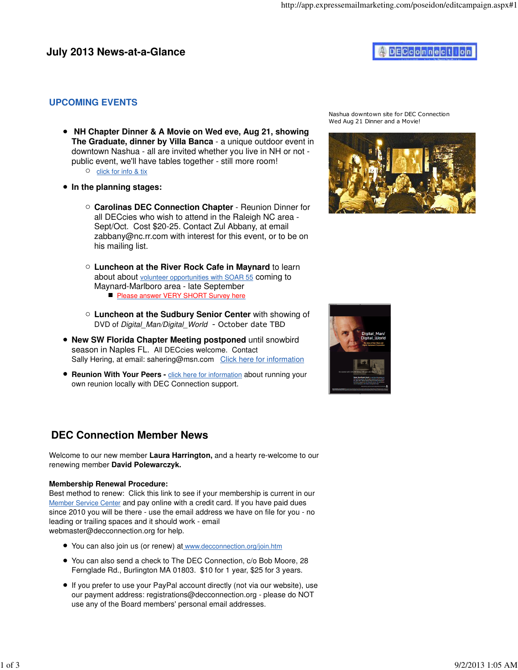#### **UPCOMING EVENTS**

- **NH Chapter Dinner & A Movie on Wed eve, Aug 21, showing The Graduate, dinner by Villa Banca** - a unique outdoor event in downtown Nashua - all are invited whether you live in NH or not public event, we'll have tables together - still more room!
	- $\circ$  click for info & tix
- **In the planning stages:**
	- **Carolinas DEC Connection Chapter** Reunion Dinner for all DECcies who wish to attend in the Raleigh NC area - Sept/Oct. Cost \$20-25. Contact Zul Abbany, at email zabbany@nc.rr.com with interest for this event, or to be on his mailing list.
	- **Luncheon at the River Rock Cafe in Maynard** to learn about about volunteer opportunities with SOAR 55 coming to Maynard-Marlboro area - late September **Please answer VERY SHORT Survey here**
	- **Luncheon at the Sudbury Senior Center** with showing of DVD of Digital Man/Digital World - October date TBD
- **New SW Florida Chapter Meeting postponed** until snowbird season in Naples FL. All DECcies welcome. Contact Sally Hering, at email: sahering@msn.com Click here for information
- **Reunion With Your Peers** click here for information about running your own reunion locally with DEC Connection support.

# **DEC Connection Member News**

Welcome to our new member **Laura Harrington,** and a hearty re-welcome to our renewing member **David Polewarczyk.**

#### **Membership Renewal Procedure:**

Best method to renew: Click this link to see if your membership is current in our Member Service Center and pay online with a credit card. If you have paid dues since 2010 you will be there - use the email address we have on file for you - no leading or trailing spaces and it should work - email webmaster@decconnection.org for help.

- You can also join us (or renew) at www.decconnection.org/join.htm
- You can also send a check to The DEC Connection, c/o Bob Moore, 28 Fernglade Rd., Burlington MA 01803. \$10 for 1 year, \$25 for 3 years.
- If you prefer to use your PayPal account directly (not via our website), use our payment address: registrations@decconnection.org - please do NOT use any of the Board members' personal email addresses.

Nashua downtown site for DEC Connection Wed Aug 21 Dinner and a Movie!



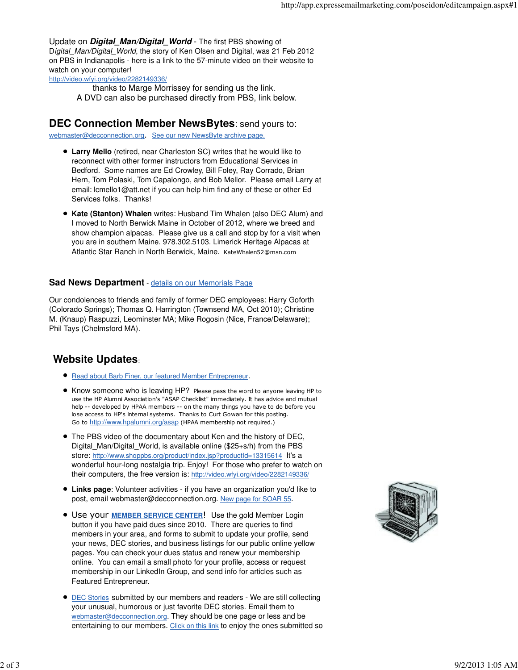Update on **Digital Man/Digital World** - The first PBS showing of Digital Man/Digital World, the story of Ken Olsen and Digital, was 21 Feb 2012 on PBS in Indianapolis - here is a link to the 57-minute video on their website to watch on your computer!

http://video.wfyi.org/video/2282149336/

thanks to Marge Morrissey for sending us the link.

A DVD can also be purchased directly from PBS, link below.

## **DEC Connection Member NewsBytes**: send yours to:

webmaster@decconnection.org. See our new NewsByte archive page.

- **Larry Mello** (retired, near Charleston SC) writes that he would like to reconnect with other former instructors from Educational Services in Bedford. Some names are Ed Crowley, Bill Foley, Ray Corrado, Brian Hern, Tom Polaski, Tom Capalongo, and Bob Mellor. Please email Larry at email: lcmello1@att.net if you can help him find any of these or other Ed Services folks. Thanks!
- **Kate (Stanton) Whalen** writes: Husband Tim Whalen (also DEC Alum) and I moved to North Berwick Maine in October of 2012, where we breed and show champion alpacas. Please give us a call and stop by for a visit when you are in southern Maine. 978.302.5103. Limerick Heritage Alpacas at Atlantic Star Ranch in North Berwick, Maine. KateWhalen52@msn.com

#### **Sad News Department** - details on our Memorials Page

Our condolences to friends and family of former DEC employees: Harry Goforth (Colorado Springs); Thomas Q. Harrington (Townsend MA, Oct 2010); Christine M. (Knaup) Raspuzzi, Leominster MA; Mike Rogosin (Nice, France/Delaware); Phil Tays (Chelmsford MA).

### **Website Updates**:

- Read about Barb Finer, our featured Member Entrepreneur.
- Know someone who is leaving HP? Please pass the word to anyone leaving HP to use the HP Alumni Association's "ASAP Checklist" immediately. It has advice and mutual help -- developed by HPAA members -- on the many things you have to do before you lose access to HP's internal systems. Thanks to Curt Gowan for this posting. Go to http://www.hpalumni.org/asap (HPAA membership not required.)
- The PBS video of the documentary about Ken and the history of DEC, Digital Man/Digital World, is available online (\$25+s/h) from the PBS store: http://www.shoppbs.org/product/index.jsp?productId=13315614 It's a wonderful hour-long nostalgia trip. Enjoy! For those who prefer to watch on their computers, the free version is: http://video.wfyi.org/video/2282149336/
- **Links page**: Volunteer activities if you have an organization you'd like to post, email webmaster@decconnection.org. New page for SOAR 55.
- Use your **MEMBER SERVICE CENTER**! Use the gold Member Login button if you have paid dues since 2010. There are queries to find members in your area, and forms to submit to update your profile, send your news, DEC stories, and business listings for our public online yellow pages. You can check your dues status and renew your membership online. You can email a small photo for your profile, access or request membership in our LinkedIn Group, and send info for articles such as Featured Entrepreneur.
- DEC Stories submitted by our members and readers We are still collecting your unusual, humorous or just favorite DEC stories. Email them to webmaster@decconnection.org. They should be one page or less and be entertaining to our members. Click on this link to enjoy the ones submitted so